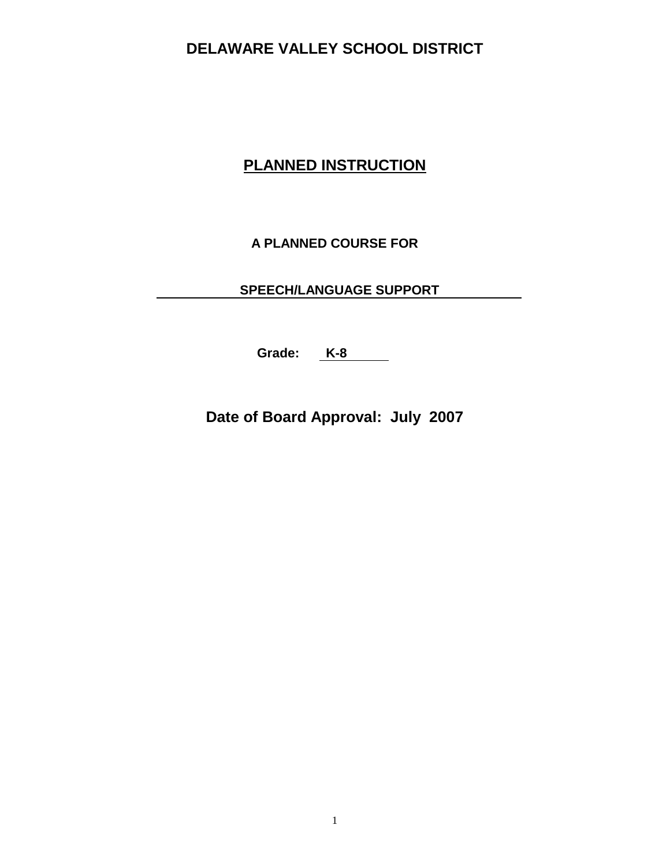## **PLANNED INSTRUCTION**

**A PLANNED COURSE FOR**

**SPEECH/LANGUAGE SUPPORT**

**Grade: K-8**

**Date of Board Approval: July 2007**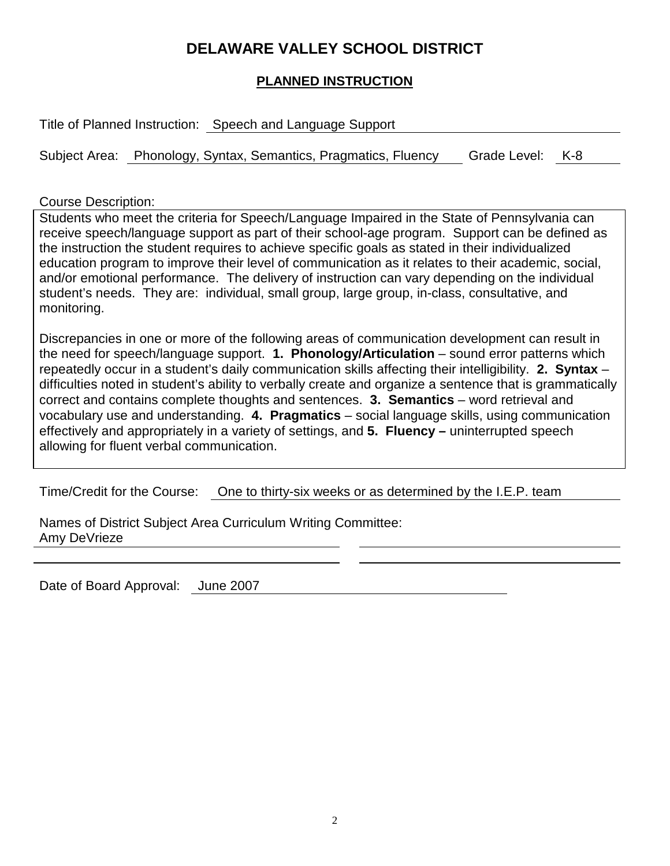#### **PLANNED INSTRUCTION**

Title of Planned Instruction: Speech and Language Support

Subject Area: Phonology, Syntax, Semantics, Pragmatics, Fluency Grade Level: K-8

Course Description:

Students who meet the criteria for Speech/Language Impaired in the State of Pennsylvania can receive speech/language support as part of their school-age program. Support can be defined as the instruction the student requires to achieve specific goals as stated in their individualized education program to improve their level of communication as it relates to their academic, social, and/or emotional performance. The delivery of instruction can vary depending on the individual student's needs. They are: individual, small group, large group, in-class, consultative, and monitoring.

Discrepancies in one or more of the following areas of communication development can result in the need for speech/language support. **1. Phonology/Articulation** – sound error patterns which repeatedly occur in a student's daily communication skills affecting their intelligibility. **2. Syntax** – difficulties noted in student's ability to verbally create and organize a sentence that is grammatically correct and contains complete thoughts and sentences. **3. Semantics** – word retrieval and vocabulary use and understanding. **4. Pragmatics** – social language skills, using communication effectively and appropriately in a variety of settings, and **5. Fluency –** uninterrupted speech allowing for fluent verbal communication.

Time/Credit for the Course: One to thirty-six weeks or as determined by the I.E.P. team

Names of District Subject Area Curriculum Writing Committee: Amy DeVrieze

Date of Board Approval: June 2007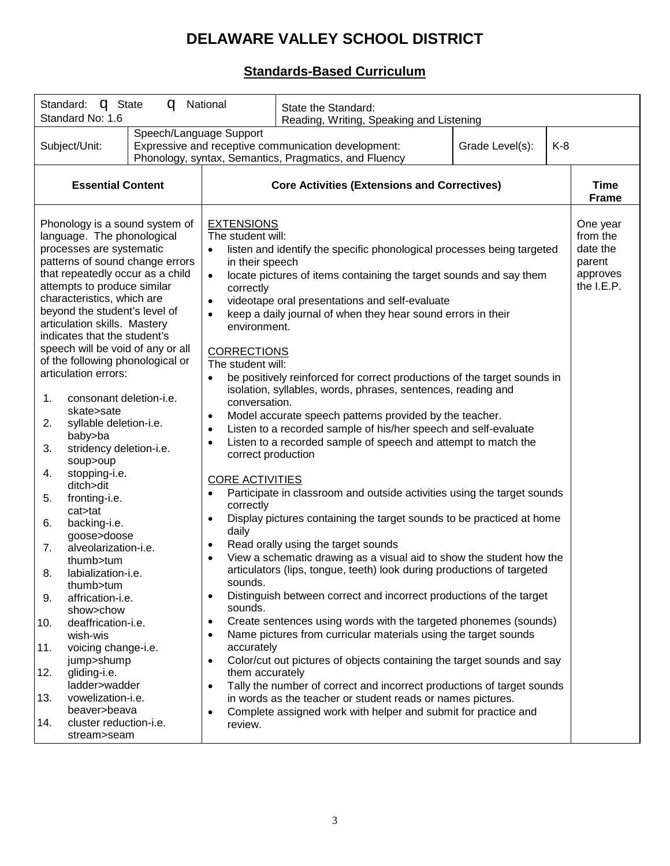### **Standards-Based Curriculum**

| Standard: <b>q</b> State<br>q<br>National<br>Standard No: 1.6                                                                                                                                                                                                                                                                                                                                                                                                                                                                                                                                                                                                                                                                                                                                                                                                                                                                                                                        |                                                                                                                                                                                                                                                                                                                                                                                                                                                                                   | State the Standard:<br>Reading, Writing, Speaking and Listening                                                                                                                                                                                                                                                                                                                                                                                                                                                                                                                                                                                                                                                                                                                                                                                                                                                                                                                                                                                                                                                                                                                                                                                                                                                                                                                                                                                            |                             |                                                                        |
|--------------------------------------------------------------------------------------------------------------------------------------------------------------------------------------------------------------------------------------------------------------------------------------------------------------------------------------------------------------------------------------------------------------------------------------------------------------------------------------------------------------------------------------------------------------------------------------------------------------------------------------------------------------------------------------------------------------------------------------------------------------------------------------------------------------------------------------------------------------------------------------------------------------------------------------------------------------------------------------|-----------------------------------------------------------------------------------------------------------------------------------------------------------------------------------------------------------------------------------------------------------------------------------------------------------------------------------------------------------------------------------------------------------------------------------------------------------------------------------|------------------------------------------------------------------------------------------------------------------------------------------------------------------------------------------------------------------------------------------------------------------------------------------------------------------------------------------------------------------------------------------------------------------------------------------------------------------------------------------------------------------------------------------------------------------------------------------------------------------------------------------------------------------------------------------------------------------------------------------------------------------------------------------------------------------------------------------------------------------------------------------------------------------------------------------------------------------------------------------------------------------------------------------------------------------------------------------------------------------------------------------------------------------------------------------------------------------------------------------------------------------------------------------------------------------------------------------------------------------------------------------------------------------------------------------------------------|-----------------------------|------------------------------------------------------------------------|
| Subject/Unit:                                                                                                                                                                                                                                                                                                                                                                                                                                                                                                                                                                                                                                                                                                                                                                                                                                                                                                                                                                        | Speech/Language Support<br>Expressive and receptive communication development:<br>Grade Level(s):<br>K-8<br>Phonology, syntax, Semantics, Pragmatics, and Fluency                                                                                                                                                                                                                                                                                                                 |                                                                                                                                                                                                                                                                                                                                                                                                                                                                                                                                                                                                                                                                                                                                                                                                                                                                                                                                                                                                                                                                                                                                                                                                                                                                                                                                                                                                                                                            |                             |                                                                        |
| <b>Essential Content</b>                                                                                                                                                                                                                                                                                                                                                                                                                                                                                                                                                                                                                                                                                                                                                                                                                                                                                                                                                             | <b>Core Activities (Extensions and Correctives)</b>                                                                                                                                                                                                                                                                                                                                                                                                                               |                                                                                                                                                                                                                                                                                                                                                                                                                                                                                                                                                                                                                                                                                                                                                                                                                                                                                                                                                                                                                                                                                                                                                                                                                                                                                                                                                                                                                                                            | <b>Time</b><br><b>Frame</b> |                                                                        |
| Phonology is a sound system of<br>language. The phonological<br>processes are systematic<br>patterns of sound change errors<br>that repeatedly occur as a child<br>attempts to produce similar<br>characteristics, which are<br>beyond the student's level of<br>articulation skills. Mastery<br>indicates that the student's<br>speech will be void of any or all<br>of the following phonological or<br>articulation errors:<br>consonant deletion-i.e.<br>1.<br>skate>sate<br>syllable deletion-i.e.<br>2.<br>baby>ba<br>3.<br>stridency deletion-i.e.<br>soup>oup<br>stopping-i.e.<br>4.<br>ditch>dit<br>fronting-i.e.<br>5.<br>cat>tat<br>backing-i.e.<br>6.<br>goose>doose<br>7.<br>alveolarization-i.e.<br>thumb>tum<br>labialization-i.e.<br>8.<br>thumb>tum<br>9.<br>affrication-i.e.<br>show>chow<br>deaffrication-i.e.<br>10.<br>wish-wis<br>voicing change-i.e.<br>11.<br>jump>shump<br>gliding-i.e.<br>12.<br>ladder>wadder<br>vowelization-i.e.<br>13.<br>beaver>beava | <b>EXTENSIONS</b><br>The student will:<br>in their speech<br>$\bullet$<br>correctly<br>$\bullet$<br>$\bullet$<br>environment.<br><b>CORRECTIONS</b><br>The student will:<br>$\bullet$<br>conversation.<br>$\bullet$<br>$\bullet$<br>$\bullet$<br>correct production<br><b>CORE ACTIVITIES</b><br>correctly<br>$\bullet$<br>daily<br>$\bullet$<br>sounds<br>$\bullet$<br>sounds.<br>$\bullet$<br>$\bullet$<br>accurately<br>$\bullet$<br>them accurately<br>$\bullet$<br>$\bullet$ | listen and identify the specific phonological processes being targeted<br>locate pictures of items containing the target sounds and say them<br>videotape oral presentations and self-evaluate<br>keep a daily journal of when they hear sound errors in their<br>be positively reinforced for correct productions of the target sounds in<br>isolation, syllables, words, phrases, sentences, reading and<br>Model accurate speech patterns provided by the teacher.<br>Listen to a recorded sample of his/her speech and self-evaluate<br>Listen to a recorded sample of speech and attempt to match the<br>Participate in classroom and outside activities using the target sounds<br>Display pictures containing the target sounds to be practiced at home<br>Read orally using the target sounds<br>View a schematic drawing as a visual aid to show the student how the<br>articulators (lips, tongue, teeth) look during productions of targeted<br>Distinguish between correct and incorrect productions of the target<br>Create sentences using words with the targeted phonemes (sounds)<br>Name pictures from curricular materials using the target sounds<br>Color/cut out pictures of objects containing the target sounds and say<br>Tally the number of correct and incorrect productions of target sounds<br>in words as the teacher or student reads or names pictures.<br>Complete assigned work with helper and submit for practice and |                             | One year<br>from the<br>date the<br>parent<br>approves<br>the $I.E.P.$ |
| cluster reduction-i.e.<br>14.<br>stream>seam                                                                                                                                                                                                                                                                                                                                                                                                                                                                                                                                                                                                                                                                                                                                                                                                                                                                                                                                         | review.                                                                                                                                                                                                                                                                                                                                                                                                                                                                           |                                                                                                                                                                                                                                                                                                                                                                                                                                                                                                                                                                                                                                                                                                                                                                                                                                                                                                                                                                                                                                                                                                                                                                                                                                                                                                                                                                                                                                                            |                             |                                                                        |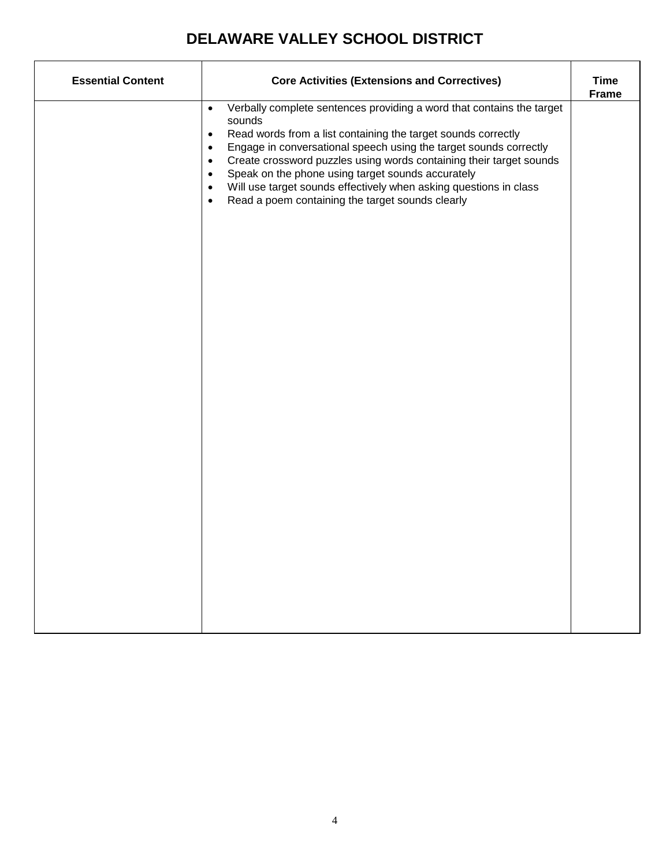| <b>Essential Content</b> | <b>Core Activities (Extensions and Correctives)</b>                                                                                                                                                                                                                                                                                                                                                                                                                                                                                                                   |                             |
|--------------------------|-----------------------------------------------------------------------------------------------------------------------------------------------------------------------------------------------------------------------------------------------------------------------------------------------------------------------------------------------------------------------------------------------------------------------------------------------------------------------------------------------------------------------------------------------------------------------|-----------------------------|
|                          | Verbally complete sentences providing a word that contains the target<br>$\bullet$<br>sounds<br>Read words from a list containing the target sounds correctly<br>$\bullet$<br>Engage in conversational speech using the target sounds correctly<br>$\bullet$<br>Create crossword puzzles using words containing their target sounds<br>$\bullet$<br>Speak on the phone using target sounds accurately<br>$\bullet$<br>Will use target sounds effectively when asking questions in class<br>$\bullet$<br>Read a poem containing the target sounds clearly<br>$\bullet$ | <b>Time</b><br><b>Frame</b> |
|                          |                                                                                                                                                                                                                                                                                                                                                                                                                                                                                                                                                                       |                             |
|                          |                                                                                                                                                                                                                                                                                                                                                                                                                                                                                                                                                                       |                             |
|                          |                                                                                                                                                                                                                                                                                                                                                                                                                                                                                                                                                                       |                             |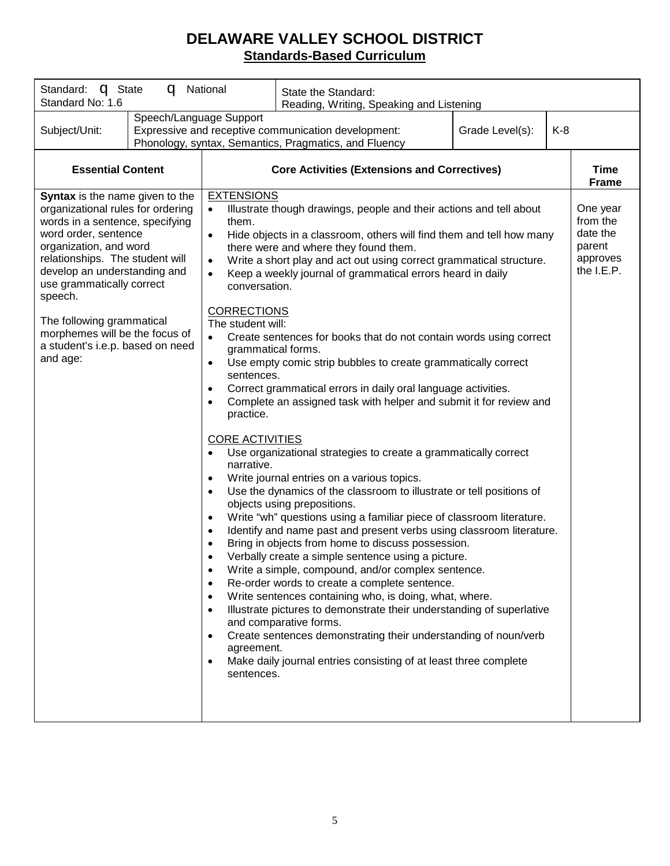### **DELAWARE VALLEY SCHOOL DISTRICT Standards-Based Curriculum**

| Standard: <b>q</b> State<br>q<br>National<br>Standard No: 1.6                                                                                                                                                                                                                                                                                                                       |                                                                                                                                                                                                                                                                                                        | State the Standard:<br>Reading, Writing, Speaking and Listening                                                                                                                                                                                                                                                                                                                                                                                                                                                                                                                                                                                                                                                                                                                                                                                                                                                                                                                                                                                                                                                                                                                                                                                                                                                                                                                                                                                                                                       |  |        |                                                            |
|-------------------------------------------------------------------------------------------------------------------------------------------------------------------------------------------------------------------------------------------------------------------------------------------------------------------------------------------------------------------------------------|--------------------------------------------------------------------------------------------------------------------------------------------------------------------------------------------------------------------------------------------------------------------------------------------------------|-------------------------------------------------------------------------------------------------------------------------------------------------------------------------------------------------------------------------------------------------------------------------------------------------------------------------------------------------------------------------------------------------------------------------------------------------------------------------------------------------------------------------------------------------------------------------------------------------------------------------------------------------------------------------------------------------------------------------------------------------------------------------------------------------------------------------------------------------------------------------------------------------------------------------------------------------------------------------------------------------------------------------------------------------------------------------------------------------------------------------------------------------------------------------------------------------------------------------------------------------------------------------------------------------------------------------------------------------------------------------------------------------------------------------------------------------------------------------------------------------------|--|--------|------------------------------------------------------------|
| Speech/Language Support<br>Subject/Unit:                                                                                                                                                                                                                                                                                                                                            | Expressive and receptive communication development:<br>Grade Level(s):<br>K-8<br>Phonology, syntax, Semantics, Pragmatics, and Fluency                                                                                                                                                                 |                                                                                                                                                                                                                                                                                                                                                                                                                                                                                                                                                                                                                                                                                                                                                                                                                                                                                                                                                                                                                                                                                                                                                                                                                                                                                                                                                                                                                                                                                                       |  |        |                                                            |
| <b>Essential Content</b>                                                                                                                                                                                                                                                                                                                                                            | <b>Core Activities (Extensions and Correctives)</b>                                                                                                                                                                                                                                                    |                                                                                                                                                                                                                                                                                                                                                                                                                                                                                                                                                                                                                                                                                                                                                                                                                                                                                                                                                                                                                                                                                                                                                                                                                                                                                                                                                                                                                                                                                                       |  |        | <b>Time</b><br><b>Frame</b>                                |
| Syntax is the name given to the<br>organizational rules for ordering<br>words in a sentence, specifying<br>word order, sentence<br>organization, and word<br>relationships. The student will<br>develop an understanding and<br>use grammatically correct<br>speech.<br>The following grammatical<br>morphemes will be the focus of<br>a student's i.e.p. based on need<br>and age: | <b>EXTENSIONS</b><br>them.<br>$\bullet$<br>conversation.<br><b>CORRECTIONS</b><br>The student will:<br>$\bullet$<br>grammatical forms.<br>$\bullet$<br>sentences.<br>$\bullet$<br>practice.<br><b>CORE ACTIVITIES</b><br>narrative.<br>$\bullet$<br>$\bullet$<br>$\bullet$<br>agreement.<br>sentences. | Illustrate though drawings, people and their actions and tell about<br>Hide objects in a classroom, others will find them and tell how many<br>there were and where they found them.<br>Write a short play and act out using correct grammatical structure.<br>Keep a weekly journal of grammatical errors heard in daily<br>Create sentences for books that do not contain words using correct<br>Use empty comic strip bubbles to create grammatically correct<br>Correct grammatical errors in daily oral language activities.<br>Complete an assigned task with helper and submit it for review and<br>Use organizational strategies to create a grammatically correct<br>Write journal entries on a various topics.<br>Use the dynamics of the classroom to illustrate or tell positions of<br>objects using prepositions.<br>Write "wh" questions using a familiar piece of classroom literature.<br>Identify and name past and present verbs using classroom literature.<br>Bring in objects from home to discuss possession.<br>Verbally create a simple sentence using a picture.<br>Write a simple, compound, and/or complex sentence.<br>Re-order words to create a complete sentence.<br>Write sentences containing who, is doing, what, where.<br>Illustrate pictures to demonstrate their understanding of superlative<br>and comparative forms.<br>Create sentences demonstrating their understanding of noun/verb<br>Make daily journal entries consisting of at least three complete |  | parent | One year<br>from the<br>date the<br>approves<br>the I.E.P. |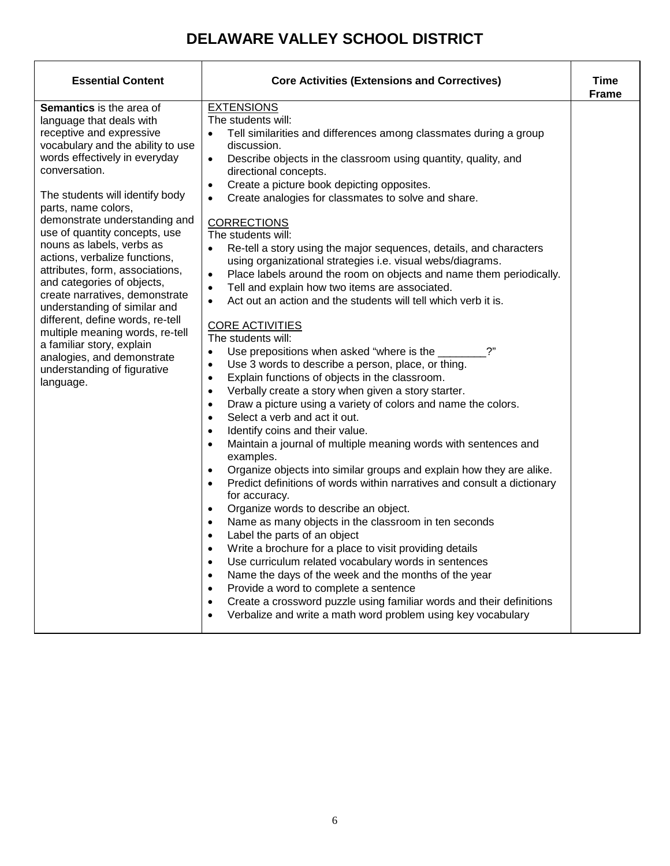| <b>Essential Content</b>                                                                                                                                                                                                                                                                                                                                                                                                                                                                                                                                                                                                                                                                  | <b>Core Activities (Extensions and Correctives)</b>                                                                                                                                                                                                                                                                                                                                                                                                                                                                                                                                                                                                                                                                                                                                                                                                                                                                                                                                                                                                                                                                                                                                                                                                                                                                                                                                                                                                                                                                                                                                                                                                                                                                                                                                                                                                                                                                                                                                                                                                                                                                                                          | Time<br><b>Frame</b> |
|-------------------------------------------------------------------------------------------------------------------------------------------------------------------------------------------------------------------------------------------------------------------------------------------------------------------------------------------------------------------------------------------------------------------------------------------------------------------------------------------------------------------------------------------------------------------------------------------------------------------------------------------------------------------------------------------|--------------------------------------------------------------------------------------------------------------------------------------------------------------------------------------------------------------------------------------------------------------------------------------------------------------------------------------------------------------------------------------------------------------------------------------------------------------------------------------------------------------------------------------------------------------------------------------------------------------------------------------------------------------------------------------------------------------------------------------------------------------------------------------------------------------------------------------------------------------------------------------------------------------------------------------------------------------------------------------------------------------------------------------------------------------------------------------------------------------------------------------------------------------------------------------------------------------------------------------------------------------------------------------------------------------------------------------------------------------------------------------------------------------------------------------------------------------------------------------------------------------------------------------------------------------------------------------------------------------------------------------------------------------------------------------------------------------------------------------------------------------------------------------------------------------------------------------------------------------------------------------------------------------------------------------------------------------------------------------------------------------------------------------------------------------------------------------------------------------------------------------------------------------|----------------------|
| <b>Semantics</b> is the area of<br>language that deals with<br>receptive and expressive<br>vocabulary and the ability to use<br>words effectively in everyday<br>conversation.<br>The students will identify body<br>parts, name colors,<br>demonstrate understanding and<br>use of quantity concepts, use<br>nouns as labels, verbs as<br>actions, verbalize functions,<br>attributes, form, associations,<br>and categories of objects,<br>create narratives, demonstrate<br>understanding of similar and<br>different, define words, re-tell<br>multiple meaning words, re-tell<br>a familiar story, explain<br>analogies, and demonstrate<br>understanding of figurative<br>language. | <b>EXTENSIONS</b><br>The students will:<br>Tell similarities and differences among classmates during a group<br>$\bullet$<br>discussion.<br>Describe objects in the classroom using quantity, quality, and<br>$\bullet$<br>directional concepts.<br>Create a picture book depicting opposites.<br>$\bullet$<br>Create analogies for classmates to solve and share.<br><b>CORRECTIONS</b><br>The students will:<br>$\bullet$<br>Re-tell a story using the major sequences, details, and characters<br>using organizational strategies i.e. visual webs/diagrams.<br>Place labels around the room on objects and name them periodically.<br>Tell and explain how two items are associated.<br>$\bullet$<br>Act out an action and the students will tell which verb it is.<br>$\bullet$<br><b>CORE ACTIVITIES</b><br>The students will:<br>2"<br>Use prepositions when asked "where is the<br>$\bullet$<br>Use 3 words to describe a person, place, or thing.<br>$\bullet$<br>Explain functions of objects in the classroom.<br>$\bullet$<br>Verbally create a story when given a story starter.<br>$\bullet$<br>Draw a picture using a variety of colors and name the colors.<br>$\bullet$<br>Select a verb and act it out.<br>Identify coins and their value.<br>$\bullet$<br>Maintain a journal of multiple meaning words with sentences and<br>$\bullet$<br>examples.<br>Organize objects into similar groups and explain how they are alike.<br>$\bullet$<br>Predict definitions of words within narratives and consult a dictionary<br>$\bullet$<br>for accuracy.<br>Organize words to describe an object.<br>$\bullet$<br>Name as many objects in the classroom in ten seconds<br>$\bullet$<br>Label the parts of an object<br>$\bullet$<br>Write a brochure for a place to visit providing details<br>$\bullet$<br>Use curriculum related vocabulary words in sentences<br>$\bullet$<br>Name the days of the week and the months of the year<br>$\bullet$<br>Provide a word to complete a sentence<br>$\bullet$<br>Create a crossword puzzle using familiar words and their definitions<br>Verbalize and write a math word problem using key vocabulary |                      |
|                                                                                                                                                                                                                                                                                                                                                                                                                                                                                                                                                                                                                                                                                           |                                                                                                                                                                                                                                                                                                                                                                                                                                                                                                                                                                                                                                                                                                                                                                                                                                                                                                                                                                                                                                                                                                                                                                                                                                                                                                                                                                                                                                                                                                                                                                                                                                                                                                                                                                                                                                                                                                                                                                                                                                                                                                                                                              |                      |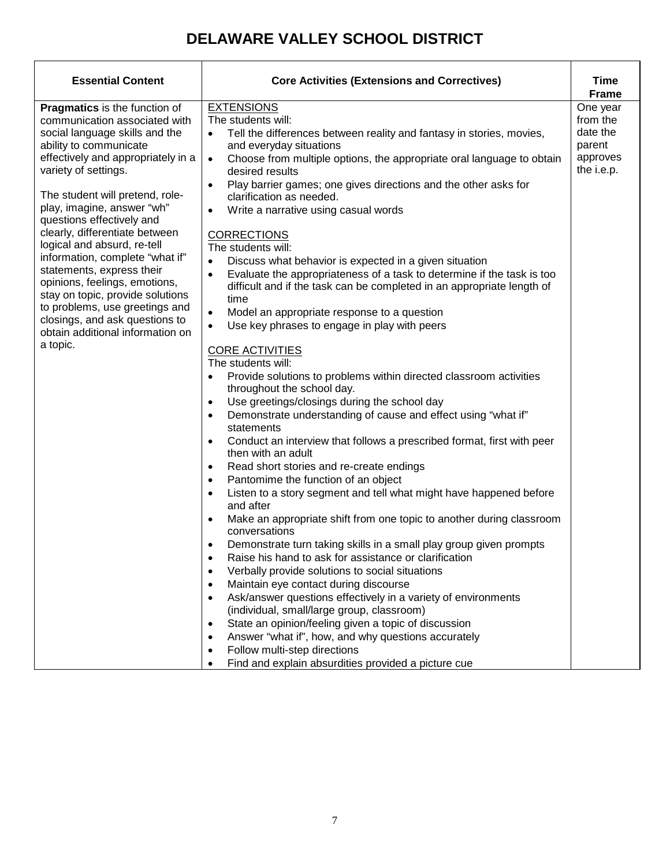| <b>Essential Content</b>                                                                                                                                                                                                                                                                                                                                                                                                                                                                                                                                                                                                | <b>Core Activities (Extensions and Correctives)</b>                                                                                                                                                                                                                                                                                                                                                                                                                                                                                                                                                                                                                                                                                                                                                                                                                                                                                                                                                                                                                                                                                                                                                                                                                                                                                                                                                                                                                                                                                                                                                                                                                                                                                                                                                                                                                                                                                                                                                                                                                                                                                                                                  |                                                                                              |
|-------------------------------------------------------------------------------------------------------------------------------------------------------------------------------------------------------------------------------------------------------------------------------------------------------------------------------------------------------------------------------------------------------------------------------------------------------------------------------------------------------------------------------------------------------------------------------------------------------------------------|--------------------------------------------------------------------------------------------------------------------------------------------------------------------------------------------------------------------------------------------------------------------------------------------------------------------------------------------------------------------------------------------------------------------------------------------------------------------------------------------------------------------------------------------------------------------------------------------------------------------------------------------------------------------------------------------------------------------------------------------------------------------------------------------------------------------------------------------------------------------------------------------------------------------------------------------------------------------------------------------------------------------------------------------------------------------------------------------------------------------------------------------------------------------------------------------------------------------------------------------------------------------------------------------------------------------------------------------------------------------------------------------------------------------------------------------------------------------------------------------------------------------------------------------------------------------------------------------------------------------------------------------------------------------------------------------------------------------------------------------------------------------------------------------------------------------------------------------------------------------------------------------------------------------------------------------------------------------------------------------------------------------------------------------------------------------------------------------------------------------------------------------------------------------------------------|----------------------------------------------------------------------------------------------|
| <b>Pragmatics</b> is the function of<br>communication associated with<br>social language skills and the<br>ability to communicate<br>effectively and appropriately in a<br>variety of settings.<br>The student will pretend, role-<br>play, imagine, answer "wh"<br>questions effectively and<br>clearly, differentiate between<br>logical and absurd, re-tell<br>information, complete "what if"<br>statements, express their<br>opinions, feelings, emotions,<br>stay on topic, provide solutions<br>to problems, use greetings and<br>closings, and ask questions to<br>obtain additional information on<br>a topic. | <b>EXTENSIONS</b><br>The students will:<br>Tell the differences between reality and fantasy in stories, movies,<br>$\bullet$<br>and everyday situations<br>Choose from multiple options, the appropriate oral language to obtain<br>$\bullet$<br>desired results<br>Play barrier games; one gives directions and the other asks for<br>$\bullet$<br>clarification as needed.<br>Write a narrative using casual words<br>$\bullet$<br><b>CORRECTIONS</b><br>The students will:<br>Discuss what behavior is expected in a given situation<br>$\bullet$<br>Evaluate the appropriateness of a task to determine if the task is too<br>$\bullet$<br>difficult and if the task can be completed in an appropriate length of<br>time<br>Model an appropriate response to a question<br>$\bullet$<br>Use key phrases to engage in play with peers<br>$\bullet$<br><b>CORE ACTIVITIES</b><br>The students will:<br>Provide solutions to problems within directed classroom activities<br>٠<br>throughout the school day.<br>Use greetings/closings during the school day<br>$\bullet$<br>Demonstrate understanding of cause and effect using "what if"<br>$\bullet$<br>statements<br>Conduct an interview that follows a prescribed format, first with peer<br>$\bullet$<br>then with an adult<br>Read short stories and re-create endings<br>$\bullet$<br>Pantomime the function of an object<br>$\bullet$<br>Listen to a story segment and tell what might have happened before<br>$\bullet$<br>and after<br>Make an appropriate shift from one topic to another during classroom<br>$\bullet$<br>conversations<br>Demonstrate turn taking skills in a small play group given prompts<br>٠<br>Raise his hand to ask for assistance or clarification<br>Verbally provide solutions to social situations<br>$\bullet$<br>Maintain eye contact during discourse<br>$\bullet$<br>Ask/answer questions effectively in a variety of environments<br>$\bullet$<br>(individual, small/large group, classroom)<br>State an opinion/feeling given a topic of discussion<br>$\bullet$<br>Answer "what if", how, and why questions accurately<br>$\bullet$<br>Follow multi-step directions<br>$\bullet$ | Time<br><b>Frame</b><br>One year<br>from the<br>date the<br>parent<br>approves<br>the i.e.p. |
|                                                                                                                                                                                                                                                                                                                                                                                                                                                                                                                                                                                                                         | Find and explain absurdities provided a picture cue<br>$\bullet$                                                                                                                                                                                                                                                                                                                                                                                                                                                                                                                                                                                                                                                                                                                                                                                                                                                                                                                                                                                                                                                                                                                                                                                                                                                                                                                                                                                                                                                                                                                                                                                                                                                                                                                                                                                                                                                                                                                                                                                                                                                                                                                     |                                                                                              |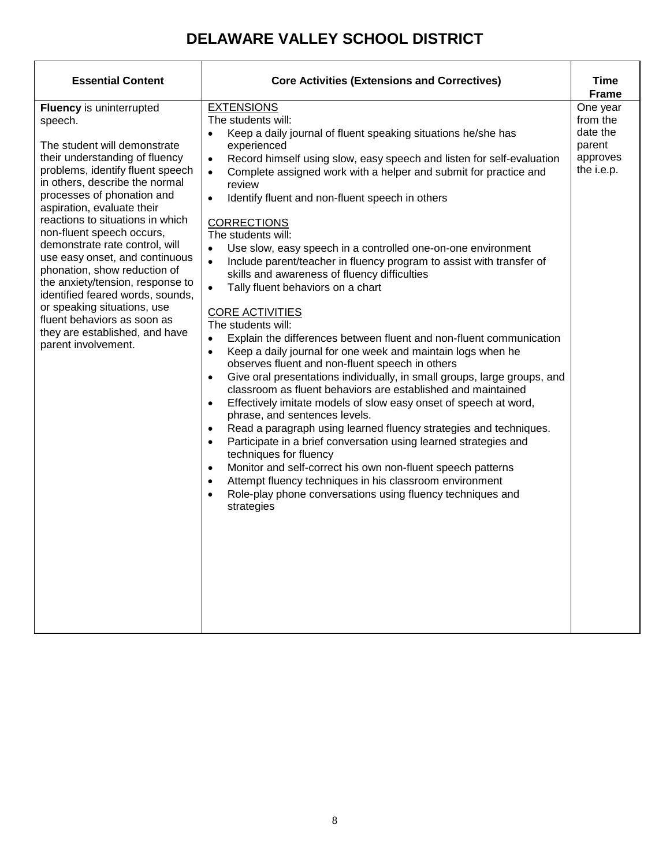| <b>Essential Content</b>                                                                                                                                                                                                                                                                                                                                                                                                                                                                                                                                                                                    | <b>Core Activities (Extensions and Correctives)</b>                                                                                                                                                                                                                                                                                                                                                                                                                                                                                                                                                                                                                                                                                                                                                                                                                                                                                                                                                                                                                                                                                                                                                                                                                                                                                                                                                                                                                                                                                                                                                                                                    | Time<br><b>Frame</b>                                                 |
|-------------------------------------------------------------------------------------------------------------------------------------------------------------------------------------------------------------------------------------------------------------------------------------------------------------------------------------------------------------------------------------------------------------------------------------------------------------------------------------------------------------------------------------------------------------------------------------------------------------|--------------------------------------------------------------------------------------------------------------------------------------------------------------------------------------------------------------------------------------------------------------------------------------------------------------------------------------------------------------------------------------------------------------------------------------------------------------------------------------------------------------------------------------------------------------------------------------------------------------------------------------------------------------------------------------------------------------------------------------------------------------------------------------------------------------------------------------------------------------------------------------------------------------------------------------------------------------------------------------------------------------------------------------------------------------------------------------------------------------------------------------------------------------------------------------------------------------------------------------------------------------------------------------------------------------------------------------------------------------------------------------------------------------------------------------------------------------------------------------------------------------------------------------------------------------------------------------------------------------------------------------------------------|----------------------------------------------------------------------|
| Fluency is uninterrupted<br>speech.<br>The student will demonstrate<br>their understanding of fluency<br>problems, identify fluent speech<br>in others, describe the normal<br>processes of phonation and<br>aspiration, evaluate their<br>reactions to situations in which<br>non-fluent speech occurs,<br>demonstrate rate control, will<br>use easy onset, and continuous<br>phonation, show reduction of<br>the anxiety/tension, response to<br>identified feared words, sounds,<br>or speaking situations, use<br>fluent behaviors as soon as<br>they are established, and have<br>parent involvement. | <b>EXTENSIONS</b><br>The students will:<br>Keep a daily journal of fluent speaking situations he/she has<br>$\bullet$<br>experienced<br>Record himself using slow, easy speech and listen for self-evaluation<br>$\bullet$<br>Complete assigned work with a helper and submit for practice and<br>$\bullet$<br>review<br>Identify fluent and non-fluent speech in others<br>$\bullet$<br><b>CORRECTIONS</b><br>The students will:<br>Use slow, easy speech in a controlled one-on-one environment<br>$\bullet$<br>Include parent/teacher in fluency program to assist with transfer of<br>skills and awareness of fluency difficulties<br>$\bullet$<br>Tally fluent behaviors on a chart<br><b>CORE ACTIVITIES</b><br>The students will:<br>Explain the differences between fluent and non-fluent communication<br>$\bullet$<br>Keep a daily journal for one week and maintain logs when he<br>$\bullet$<br>observes fluent and non-fluent speech in others<br>Give oral presentations individually, in small groups, large groups, and<br>$\bullet$<br>classroom as fluent behaviors are established and maintained<br>Effectively imitate models of slow easy onset of speech at word,<br>$\bullet$<br>phrase, and sentences levels.<br>Read a paragraph using learned fluency strategies and techniques.<br>Participate in a brief conversation using learned strategies and<br>$\bullet$<br>techniques for fluency<br>Monitor and self-correct his own non-fluent speech patterns<br>Attempt fluency techniques in his classroom environment<br>$\bullet$<br>Role-play phone conversations using fluency techniques and<br>$\bullet$<br>strategies | One year<br>from the<br>date the<br>parent<br>approves<br>the i.e.p. |